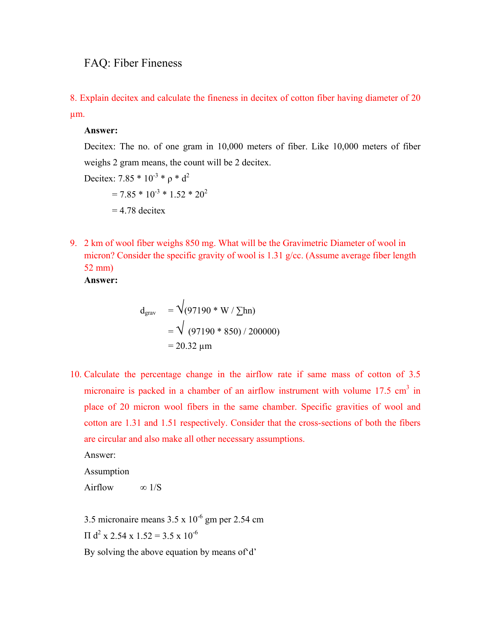## FAQ: Fiber Fineness

8. Explain decitex and calculate the fineness in decitex of cotton fiber having diameter of 20 µm.

## **Answer:**

Decitex: The no. of one gram in 10,000 meters of fiber. Like 10,000 meters of fiber weighs 2 gram means, the count will be 2 decitex.

Decitex: 
$$
7.85 * 10^{-3} * \rho * d^2
$$
  
=  $7.85 * 10^{-3} * 1.52 * 20^2$   
= 4.78 decitex

9. 2 km of wool fiber weighs 850 mg. What will be the Gravimetric Diameter of wool in micron? Consider the specific gravity of wool is 1.31 g/cc. (Assume average fiber length 52 mm)

**Answer:** 

$$
d_{\text{grav}} = \sqrt{(97190 \times W / \sum \ln n)}
$$
  
=  $\sqrt{(97190 \times 850) / 200000}$   
= 20.32  $\mu$ m

10. Calculate the percentage change in the airflow rate if same mass of cotton of 3.5 micronaire is packed in a chamber of an airflow instrument with volume  $17.5 \text{ cm}^3$  in place of 20 micron wool fibers in the same chamber. Specific gravities of wool and cotton are 1.31 and 1.51 respectively. Consider that the cross-sections of both the fibers are circular and also make all other necessary assumptions.

Answer:

Assumption

$$
Airflow \qquad \infty \, 1/S
$$

3.5 micronaire means  $3.5 \times 10^{-6}$  gm per 2.54 cm  $\Pi$  d<sup>2</sup> x 2.54 x 1.52 = 3.5 x 10<sup>-6</sup>

By solving the above equation by means of'd'